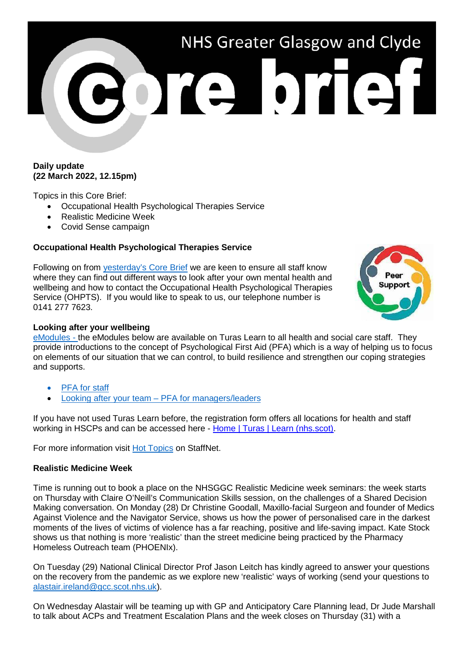

### **Daily update (22 March 2022, 12.15pm)**

Topics in this Core Brief:

- Occupational Health Psychological Therapies Service
- Realistic Medicine Week
- Covid Sense campaign

## **Occupational Health Psychological Therapies Service**

Following on from yesterday's Core Brief we are keen to ensure all staff know where they can find out different ways to look after your own mental health and wellbeing and how to contact the Occupational Health Psychological Therapies Service (OHPTS). If you would like to speak to us, our telephone number is 0141 277 7623.



### **Looking after your wellbeing**

eModules - the eModules below are available on Turas Learn to all health and social care staff. They provide introductions to the concept of Psychological First Aid (PFA) which is a way of helping us to focus on elements of our situation that we can control, to build resilience and strengthen our coping strategies and supports.

- [PFA for staff](https://learn.nes.nhs.scot/28724/psychosocial-mental-health-and-wellbeing-support/covid-19-psychological-first-aid)
- Looking after your team [PFA for managers/leaders](https://learn.nes.nhs.scot/30532/psychosocial-mental-health-and-wellbeing-support/taking-care-of-your-staff/protecting-the-psychological-wellbeing-of-staff-and-teams-for-managers-and-team-leaders)

If you have not used Turas Learn before, the registration form offers all locations for health and staff working in HSCPs and can be accessed here - [Home | Turas | Learn \(nhs.scot\).](https://learn.nes.nhs.scot/)

For more information visit [Hot Topics](http://www.staffnet.ggc.scot.nhs.uk/Corporate%20Services/Communications/Hot%20Topics/Pages/comms_We%E2%80%99reexhausted!_mb210322.aspx) on StaffNet.

### **Realistic Medicine Week**

Time is running out to book a place on the NHSGGC Realistic Medicine week seminars: the week starts on Thursday with Claire O'Neill's Communication Skills session, on the challenges of a Shared Decision Making conversation. On Monday (28) Dr Christine Goodall, Maxillo-facial Surgeon and founder of Medics Against Violence and the Navigator Service, shows us how the power of personalised care in the darkest moments of the lives of victims of violence has a far reaching, positive and life-saving impact. Kate Stock shows us that nothing is more 'realistic' than the street medicine being practiced by the Pharmacy Homeless Outreach team (PHOENIx).

On Tuesday (29) National Clinical Director Prof Jason Leitch has kindly agreed to answer your questions on the recovery from the pandemic as we explore new 'realistic' ways of working (send your questions to [alastair.ireland@gcc.scot.nhs.uk\)](mailto:alastair.ireland@gcc.scot.nhs.uk).

On Wednesday Alastair will be teaming up with GP and Anticipatory Care Planning lead, Dr Jude Marshall to talk about ACPs and Treatment Escalation Plans and the week closes on Thursday (31) with a